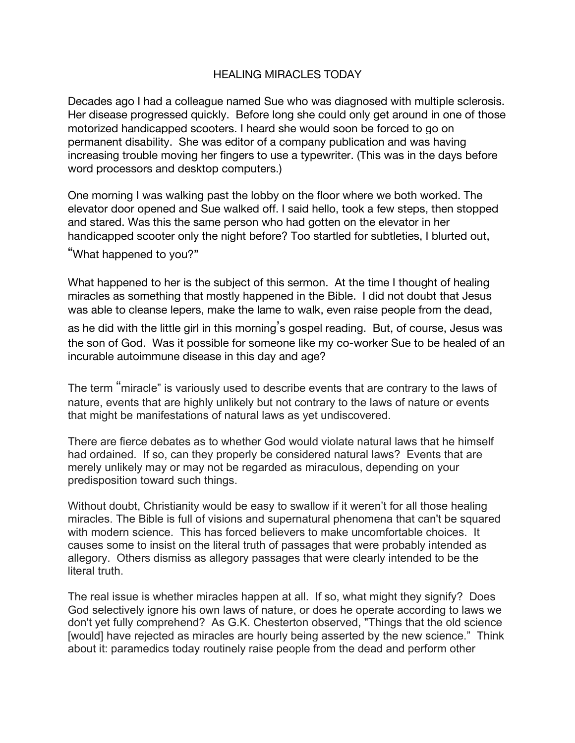## HEALING MIRACLES TODAY

Decades ago I had a colleague named Sue who was diagnosed with multiple sclerosis. Her disease progressed quickly. Before long she could only get around in one of those motorized handicapped scooters. I heard she would soon be forced to go on permanent disability. She was editor of a company publication and was having increasing trouble moving her fingers to use a typewriter. (This was in the days before word processors and desktop computers.)

One morning I was walking past the lobby on the floor where we both worked. The elevator door opened and Sue walked off. I said hello, took a few steps, then stopped and stared. Was this the same person who had gotten on the elevator in her handicapped scooter only the night before? Too startled for subtleties, I blurted out,

"What happened to you?"

What happened to her is the subject of this sermon. At the time I thought of healing miracles as something that mostly happened in the Bible. I did not doubt that Jesus was able to cleanse lepers, make the lame to walk, even raise people from the dead,

as he did with the little girl in this morning's gospel reading. But, of course, Jesus was the son of God. Was it possible for someone like my co-worker Sue to be healed of an incurable autoimmune disease in this day and age?

The term "miracle" is variously used to describe events that are contrary to the laws of nature, events that are highly unlikely but not contrary to the laws of nature or events that might be manifestations of natural laws as yet undiscovered.

There are fierce debates as to whether God would violate natural laws that he himself had ordained. If so, can they properly be considered natural laws? Events that are merely unlikely may or may not be regarded as miraculous, depending on your predisposition toward such things.

Without doubt, Christianity would be easy to swallow if it weren't for all those healing miracles. The Bible is full of visions and supernatural phenomena that can't be squared with modern science. This has forced believers to make uncomfortable choices. It causes some to insist on the literal truth of passages that were probably intended as allegory. Others dismiss as allegory passages that were clearly intended to be the literal truth.

The real issue is whether miracles happen at all. If so, what might they signify? Does God selectively ignore his own laws of nature, or does he operate according to laws we don't yet fully comprehend? As G.K. Chesterton observed, "Things that the old science [would] have rejected as miracles are hourly being asserted by the new science." Think about it: paramedics today routinely raise people from the dead and perform other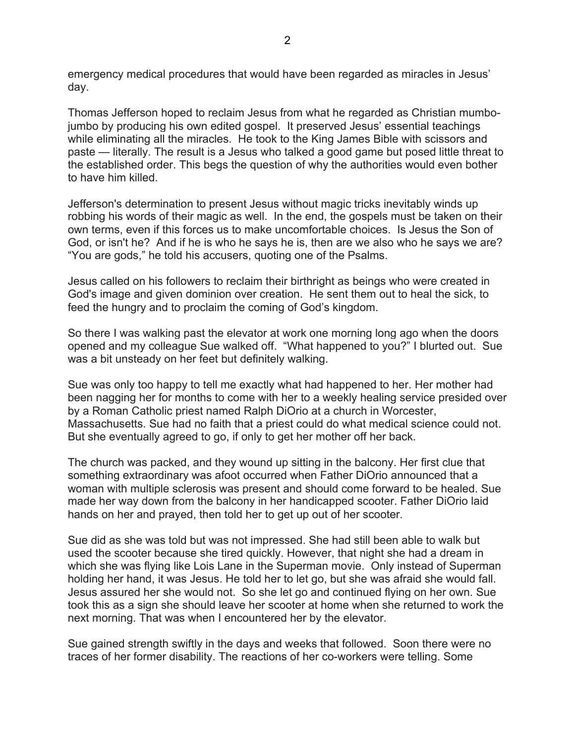emergency medical procedures that would have been regarded as miracles in Jesus' day.

Thomas Jefferson hoped to reclaim Jesus from what he regarded as Christian mumbojumbo by producing his own edited gospel. It preserved Jesus' essential teachings while eliminating all the miracles. He took to the King James Bible with scissors and paste — literally. The result is a Jesus who talked a good game but posed little threat to the established order. This begs the question of why the authorities would even bother to have him killed.

Jefferson's determination to present Jesus without magic tricks inevitably winds up robbing his words of their magic as well. In the end, the gospels must be taken on their own terms, even if this forces us to make uncomfortable choices. Is Jesus the Son of God, or isn't he? And if he is who he says he is, then are we also who he says we are? "You are gods," he told his accusers, quoting one of the Psalms.

Jesus called on his followers to reclaim their birthright as beings who were created in God's image and given dominion over creation. He sent them out to heal the sick, to feed the hungry and to proclaim the coming of God's kingdom.

So there I was walking past the elevator at work one morning long ago when the doors opened and my colleague Sue walked off. "What happened to you?" I blurted out. Sue was a bit unsteady on her feet but definitely walking.

Sue was only too happy to tell me exactly what had happened to her. Her mother had been nagging her for months to come with her to a weekly healing service presided over by a Roman Catholic priest named Ralph DiOrio at a church in Worcester, Massachusetts. Sue had no faith that a priest could do what medical science could not. But she eventually agreed to go, if only to get her mother off her back.

The church was packed, and they wound up sitting in the balcony. Her first clue that something extraordinary was afoot occurred when Father DiOrio announced that a woman with multiple sclerosis was present and should come forward to be healed. Sue made her way down from the balcony in her handicapped scooter. Father DiOrio laid hands on her and prayed, then told her to get up out of her scooter.

Sue did as she was told but was not impressed. She had still been able to walk but used the scooter because she tired quickly. However, that night she had a dream in which she was flying like Lois Lane in the Superman movie. Only instead of Superman holding her hand, it was Jesus. He told her to let go, but she was afraid she would fall. Jesus assured her she would not. So she let go and continued flying on her own. Sue took this as a sign she should leave her scooter at home when she returned to work the next morning. That was when I encountered her by the elevator.

Sue gained strength swiftly in the days and weeks that followed. Soon there were no traces of her former disability. The reactions of her co-workers were telling. Some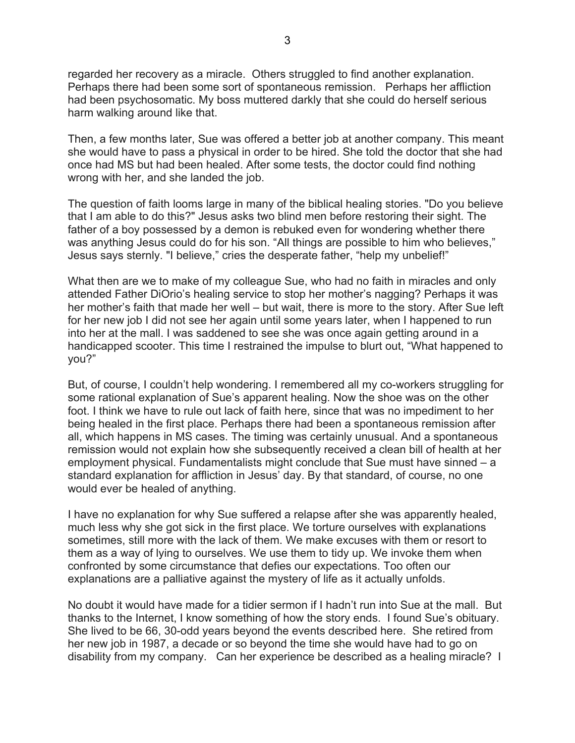regarded her recovery as a miracle. Others struggled to find another explanation. Perhaps there had been some sort of spontaneous remission. Perhaps her affliction had been psychosomatic. My boss muttered darkly that she could do herself serious harm walking around like that.

Then, a few months later, Sue was offered a better job at another company. This meant she would have to pass a physical in order to be hired. She told the doctor that she had once had MS but had been healed. After some tests, the doctor could find nothing wrong with her, and she landed the job.

The question of faith looms large in many of the biblical healing stories. "Do you believe that I am able to do this?" Jesus asks two blind men before restoring their sight. The father of a boy possessed by a demon is rebuked even for wondering whether there was anything Jesus could do for his son. "All things are possible to him who believes," Jesus says sternly. "I believe," cries the desperate father, "help my unbelief!"

What then are we to make of my colleague Sue, who had no faith in miracles and only attended Father DiOrio's healing service to stop her mother's nagging? Perhaps it was her mother's faith that made her well – but wait, there is more to the story. After Sue left for her new job I did not see her again until some years later, when I happened to run into her at the mall. I was saddened to see she was once again getting around in a handicapped scooter. This time I restrained the impulse to blurt out, "What happened to you?"

But, of course, I couldn't help wondering. I remembered all my co-workers struggling for some rational explanation of Sue's apparent healing. Now the shoe was on the other foot. I think we have to rule out lack of faith here, since that was no impediment to her being healed in the first place. Perhaps there had been a spontaneous remission after all, which happens in MS cases. The timing was certainly unusual. And a spontaneous remission would not explain how she subsequently received a clean bill of health at her employment physical. Fundamentalists might conclude that Sue must have sinned – a standard explanation for affliction in Jesus' day. By that standard, of course, no one would ever be healed of anything.

I have no explanation for why Sue suffered a relapse after she was apparently healed, much less why she got sick in the first place. We torture ourselves with explanations sometimes, still more with the lack of them. We make excuses with them or resort to them as a way of lying to ourselves. We use them to tidy up. We invoke them when confronted by some circumstance that defies our expectations. Too often our explanations are a palliative against the mystery of life as it actually unfolds.

No doubt it would have made for a tidier sermon if I hadn't run into Sue at the mall. But thanks to the Internet, I know something of how the story ends. I found Sue's obituary. She lived to be 66, 30-odd years beyond the events described here. She retired from her new job in 1987, a decade or so beyond the time she would have had to go on disability from my company. Can her experience be described as a healing miracle? I